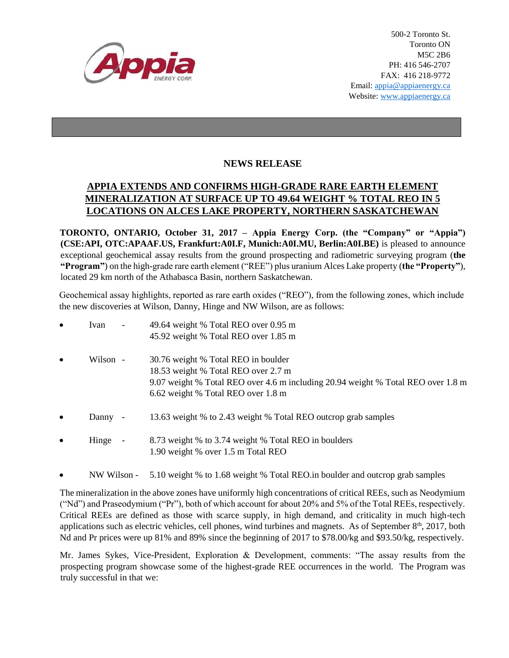

500-2 Toronto St. Toronto ON M5C 2B6 PH: 416 546-2707 FAX: 416 218-9772 Email: appia@appiaenergy.ca Website: www.appiaenergy.ca

## **NEWS RELEASE**

## **APPIA EXTENDS AND CONFIRMS HIGH-GRADE RARE EARTH ELEMENT MINERALIZATION AT SURFACE UP TO 49.64 WEIGHT % TOTAL REO IN 5 LOCATIONS ON ALCES LAKE PROPERTY, NORTHERN SASKATCHEWAN**

**TORONTO, ONTARIO, October 31, 2017 – Appia Energy Corp. (the "Company" or "Appia") (CSE:API, OTC:APAAF.US, Frankfurt:A0I.F, Munich:A0I.MU, Berlin:A0I.BE)** is pleased to announce exceptional geochemical assay results from the ground prospecting and radiometric surveying program (**the "Program"**) on the high-grade rare earth element ("REE") plus uranium Alces Lake property (**the "Property"**), located 29 km north of the Athabasca Basin, northern Saskatchewan.

Geochemical assay highlights, reported as rare earth oxides ("REO"), from the following zones, which include the new discoveries at Wilson, Danny, Hinge and NW Wilson, are as follows:

| $\bullet$ | Ivan     |                          | 49.64 weight % Total REO over 0.95 m<br>45.92 weight % Total REO over 1.85 m                                                                                                                         |
|-----------|----------|--------------------------|------------------------------------------------------------------------------------------------------------------------------------------------------------------------------------------------------|
| $\bullet$ | Wilson - |                          | 30.76 weight % Total REO in boulder<br>18.53 weight % Total REO over 2.7 m<br>9.07 weight % Total REO over 4.6 m including 20.94 weight % Total REO over 1.8 m<br>6.62 weight % Total REO over 1.8 m |
| $\bullet$ | Danny -  |                          | 13.63 weight % to 2.43 weight % Total REO outcrop grab samples                                                                                                                                       |
| $\bullet$ | Hinge    | $\overline{\phantom{a}}$ | 8.73 weight % to 3.74 weight % Total REO in boulders<br>1.90 weight % over 1.5 m Total REO                                                                                                           |

NW Wilson - 5.10 weight % to 1.68 weight % Total REO.in boulder and outcrop grab samples

The mineralization in the above zones have uniformly high concentrations of critical REEs, such as Neodymium ("Nd") and Praseodymium ("Pr"), both of which account for about 20% and 5% of the Total REEs, respectively. Critical REEs are defined as those with scarce supply, in high demand, and criticality in much high-tech applications such as electric vehicles, cell phones, wind turbines and magnets. As of September  $8<sup>th</sup>$ , 2017, both Nd and Pr prices were up 81% and 89% since the beginning of 2017 to \$78.00/kg and \$93.50/kg, respectively.

Mr. James Sykes, Vice-President, Exploration & Development, comments: "The assay results from the prospecting program showcase some of the highest-grade REE occurrences in the world. The Program was truly successful in that we: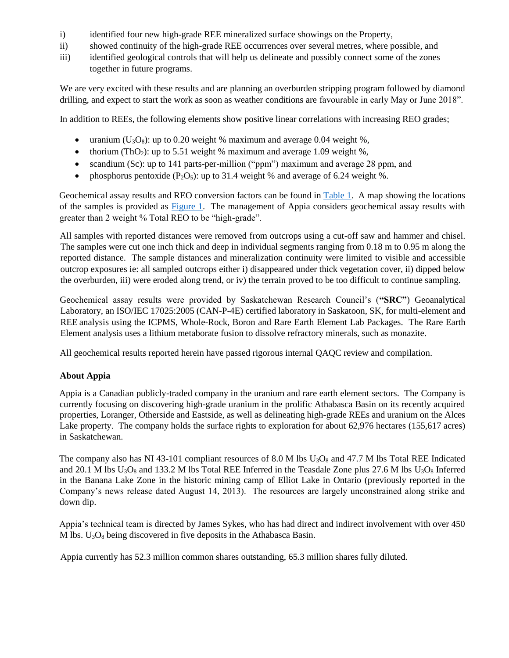- i) identified four new high-grade REE mineralized surface showings on the Property,
- ii) showed continuity of the high-grade REE occurrences over several metres, where possible, and
- iii) identified geological controls that will help us delineate and possibly connect some of the zones together in future programs.

We are very excited with these results and are planning an overburden stripping program followed by diamond drilling, and expect to start the work as soon as weather conditions are favourable in early May or June 2018".

In addition to REEs, the following elements show positive linear correlations with increasing REO grades;

- uranium  $(U_3O_8)$ : up to 0.20 weight % maximum and average 0.04 weight %,
- thorium (ThO<sub>2</sub>): up to 5.51 weight % maximum and average 1.09 weight %,
- scandium (Sc): up to 141 parts-per-million ("ppm") maximum and average 28 ppm, and
- phosphorus pentoxide  $(P_2O_5)$ : up to 31.4 weight % and average of 6.24 weight %.

Geochemical assay results and REO conversion factors can be found in  $Table 1$ . A map showing the locations of the samples is provided as [Figure 1.](http://www.appiaenergy.ca/_resources/Summer-2017-Prospecting-REE-Assay-Results-Map.pdf) The management of Appia considers geochemical assay results with greater than 2 weight % Total REO to be "high-grade".

All samples with reported distances were removed from outcrops using a cut-off saw and hammer and chisel. The samples were cut one inch thick and deep in individual segments ranging from 0.18 m to 0.95 m along the reported distance. The sample distances and mineralization continuity were limited to visible and accessible outcrop exposures ie: all sampled outcrops either i) disappeared under thick vegetation cover, ii) dipped below the overburden, iii) were eroded along trend, or iv) the terrain proved to be too difficult to continue sampling.

Geochemical assay results were provided by Saskatchewan Research Council's (**"SRC"**) Geoanalytical Laboratory, an ISO/IEC 17025:2005 (CAN-P-4E) certified laboratory in Saskatoon, SK, for multi-element and REE analysis using the ICPMS, Whole-Rock, Boron and Rare Earth Element Lab Packages. The Rare Earth Element analysis uses a lithium metaborate fusion to dissolve refractory minerals, such as monazite.

All geochemical results reported herein have passed rigorous internal QAQC review and compilation.

## **About Appia**

Appia is a Canadian publicly-traded company in the uranium and rare earth element sectors. The Company is currently focusing on discovering high-grade uranium in the prolific Athabasca Basin on its recently acquired properties, Loranger, Otherside and Eastside, as well as delineating high-grade REEs and uranium on the Alces Lake property. The company holds the surface rights to exploration for about 62,976 hectares (155,617 acres) in Saskatchewan.

The company also has NI 43-101 compliant resources of 8.0 M lbs  $U_3O_8$  and 47.7 M lbs Total REE Indicated and 20.1 M lbs  $U_3O_8$  and 133.2 M lbs Total REE Inferred in the Teasdale Zone plus 27.6 M lbs  $U_3O_8$  Inferred in the Banana Lake Zone in the historic mining camp of Elliot Lake in Ontario (previously reported in the Company's news release dated August 14, 2013). The resources are largely unconstrained along strike and down dip.

Appia's technical team is directed by James Sykes, who has had direct and indirect involvement with over 450 M lbs.  $U_3O_8$  being discovered in five deposits in the Athabasca Basin.

Appia currently has 52.3 million common shares outstanding, 65.3 million shares fully diluted.